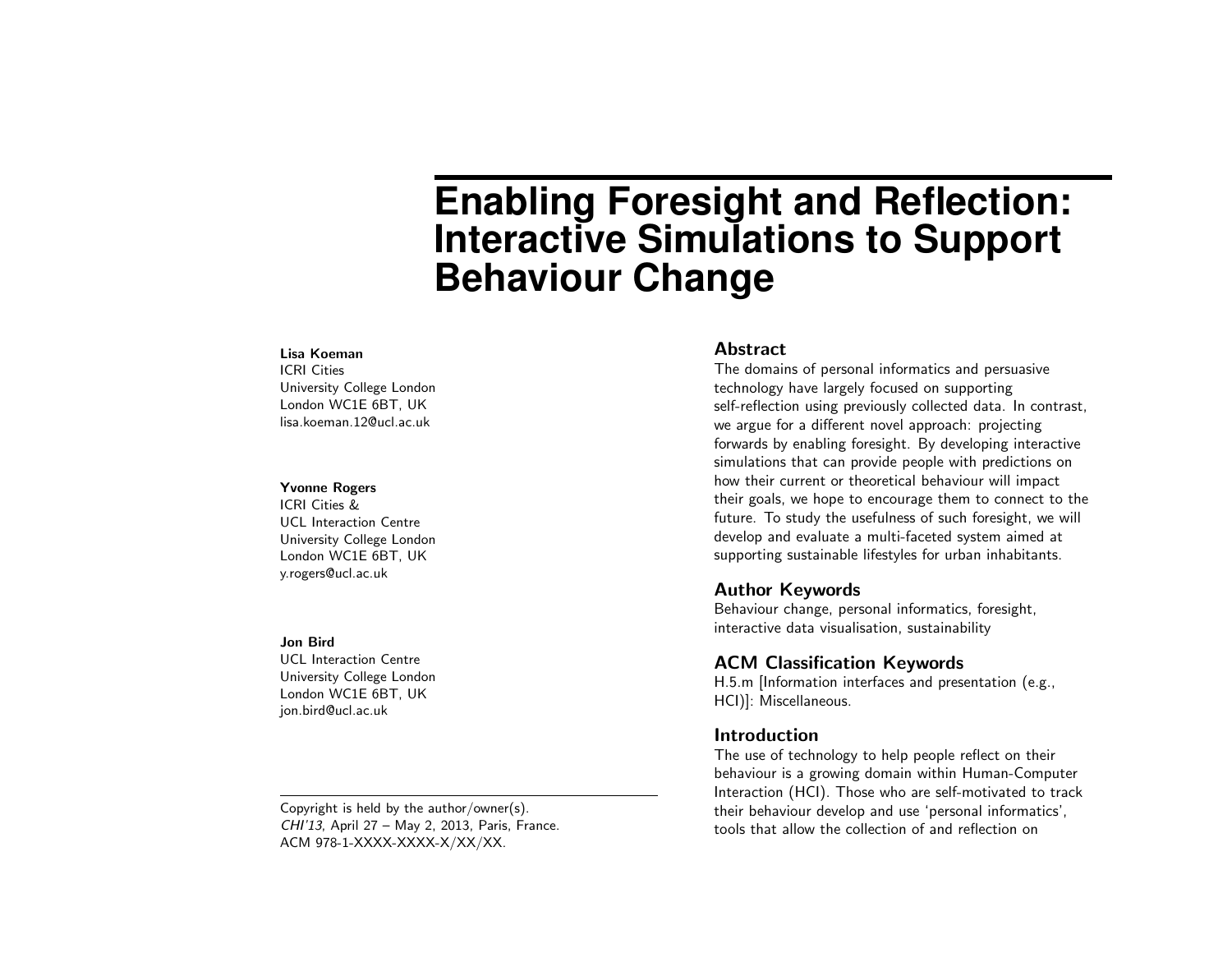# **Enabling Foresight and Reflection: Interactive Simulations to Support Behaviour Change**

#### Lisa Koeman

ICRI Cities University College London London WC1E 6BT, UK lisa.koeman.12@ucl.ac.uk

#### Yvonne Rogers

ICRI Cities & UCL Interaction Centre University College London London WC1E 6BT, UK y.rogers@ucl.ac.uk

#### Jon Bird

UCL Interaction Centre University College London London WC1E 6BT, UK jon.bird@ucl.ac.uk

Copyright is held by the author/owner(s). CHI'13, April 27 – May 2, 2013, Paris, France. ACM 978-1-XXXX-XXXX-X/XX/XX.

#### Abstract

The domains of personal informatics and persuasive technology have largely focused on supporting self-reflection using previously collected data. In contrast, we argue for a different novel approach: projecting forwards by enabling foresight. By developing interactive simulations that can provide people with predictions on how their current or theoretical behaviour will impact their goals, we hope to encourage them to connect to the future. To study the usefulness of such foresight, we will develop and evaluate a multi-faceted system aimed at supporting sustainable lifestyles for urban inhabitants.

#### Author Keywords

Behaviour change, personal informatics, foresight, interactive data visualisation, sustainability

# ACM Classification Keywords

H.5.m [Information interfaces and presentation (e.g., HCI)]: Miscellaneous.

### **Introduction**

The use of technology to help people reflect on their behaviour is a growing domain within Human-Computer Interaction (HCI). Those who are self-motivated to track their behaviour develop and use 'personal informatics', tools that allow the collection of and reflection on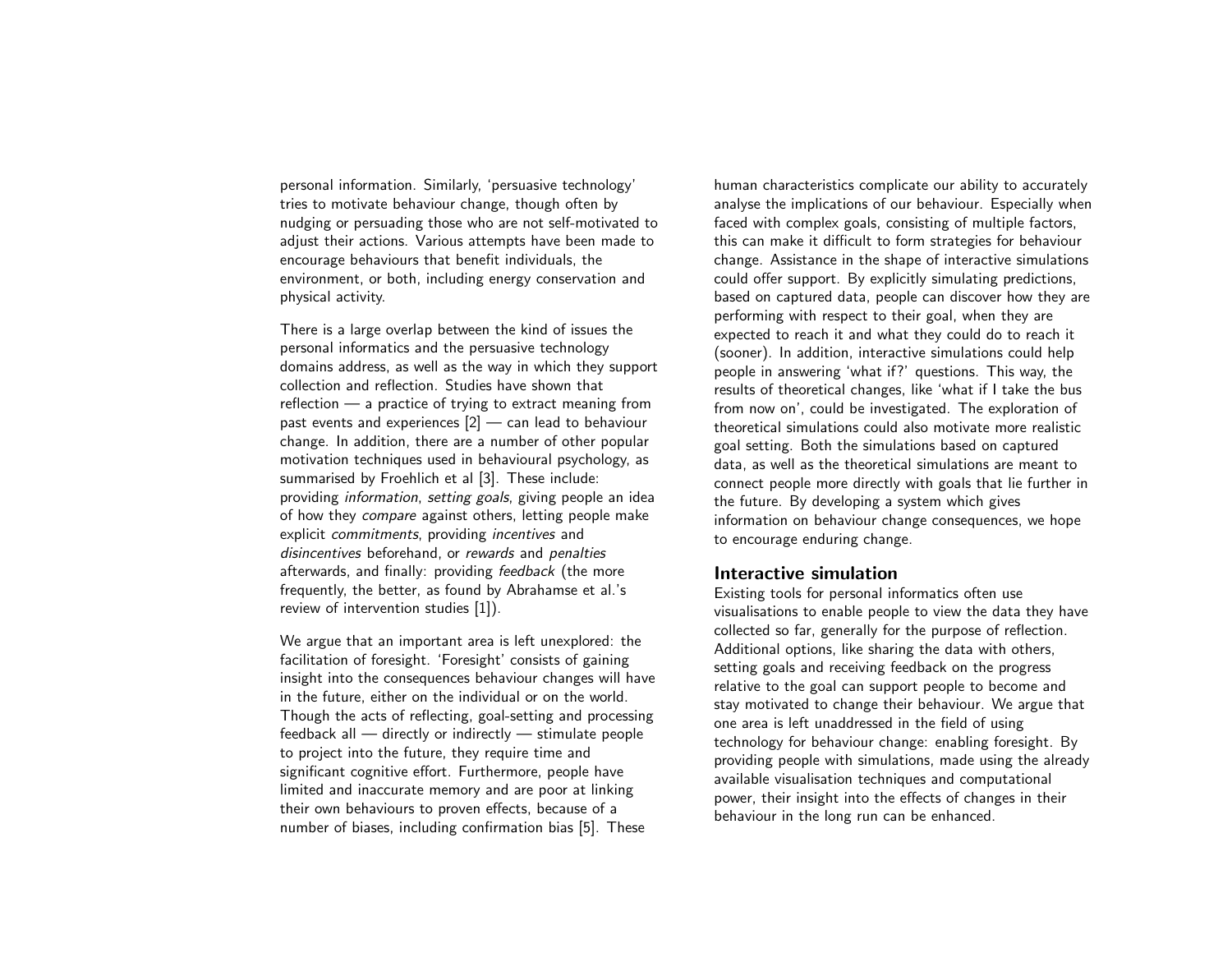personal information. Similarly, 'persuasive technology' tries to motivate behaviour change, though often by nudging or persuading those who are not self-motivated to adjust their actions. Various attempts have been made to encourage behaviours that benefit individuals, the environment, or both, including energy conservation and physical activity.

There is a large overlap between the kind of issues the personal informatics and the persuasive technology domains address, as well as the way in which they support collection and reflection. Studies have shown that reflection — a practice of trying to extract meaning from past events and experiences [\[2\]](#page-3-0) — can lead to behaviour change. In addition, there are a number of other popular motivation techniques used in behavioural psychology, as summarised by Froehlich et al [\[3\]](#page-3-1). These include: providing information, setting goals, giving people an idea of how they compare against others, letting people make explicit commitments, providing incentives and disincentives beforehand, or rewards and penalties afterwards, and finally: providing feedback (the more frequently, the better, as found by Abrahamse et al.'s review of intervention studies [\[1\]](#page-3-2)).

We argue that an important area is left unexplored: the facilitation of foresight. 'Foresight' consists of gaining insight into the consequences behaviour changes will have in the future, either on the individual or on the world. Though the acts of reflecting, goal-setting and processing feedback all — directly or indirectly — stimulate people to project into the future, they require time and significant cognitive effort. Furthermore, people have limited and inaccurate memory and are poor at linking their own behaviours to proven effects, because of a number of biases, including confirmation bias [\[5\]](#page-3-3). These

human characteristics complicate our ability to accurately analyse the implications of our behaviour. Especially when faced with complex goals, consisting of multiple factors, this can make it difficult to form strategies for behaviour change. Assistance in the shape of interactive simulations could offer support. By explicitly simulating predictions, based on captured data, people can discover how they are performing with respect to their goal, when they are expected to reach it and what they could do to reach it (sooner). In addition, interactive simulations could help people in answering 'what if?' questions. This way, the results of theoretical changes, like 'what if I take the bus from now on', could be investigated. The exploration of theoretical simulations could also motivate more realistic goal setting. Both the simulations based on captured data, as well as the theoretical simulations are meant to connect people more directly with goals that lie further in the future. By developing a system which gives information on behaviour change consequences, we hope to encourage enduring change.

### Interactive simulation

Existing tools for personal informatics often use visualisations to enable people to view the data they have collected so far, generally for the purpose of reflection. Additional options, like sharing the data with others, setting goals and receiving feedback on the progress relative to the goal can support people to become and stay motivated to change their behaviour. We argue that one area is left unaddressed in the field of using technology for behaviour change: enabling foresight. By providing people with simulations, made using the already available visualisation techniques and computational power, their insight into the effects of changes in their behaviour in the long run can be enhanced.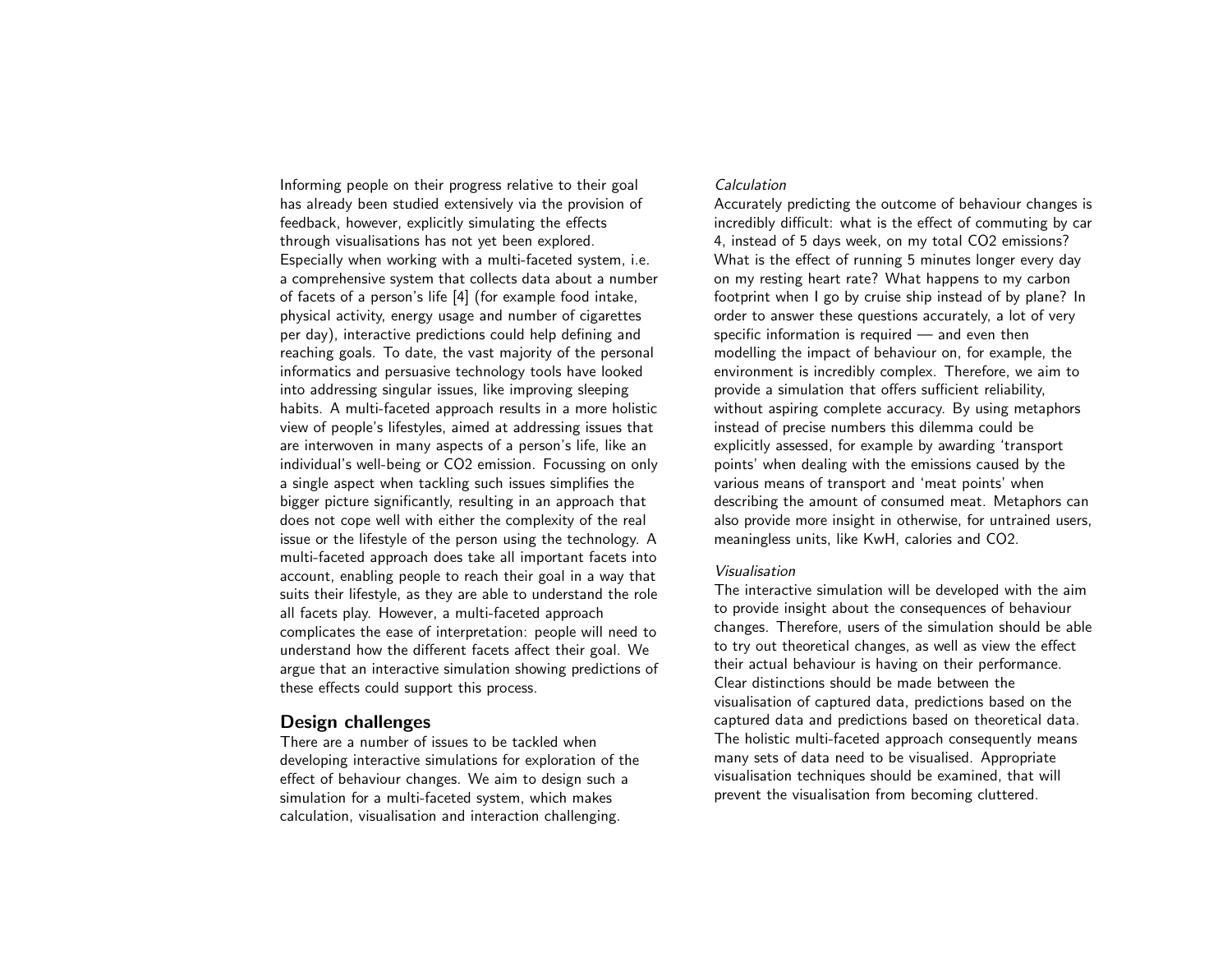Informing people on their progress relative to their goal has already been studied extensively via the provision of feedback, however, explicitly simulating the effects through visualisations has not yet been explored. Especially when working with a multi-faceted system, i.e. a comprehensive system that collects data about a number of facets of a person's life [\[4\]](#page-3-4) (for example food intake, physical activity, energy usage and number of cigarettes per day), interactive predictions could help defining and reaching goals. To date, the vast majority of the personal informatics and persuasive technology tools have looked into addressing singular issues, like improving sleeping habits. A multi-faceted approach results in a more holistic view of people's lifestyles, aimed at addressing issues that are interwoven in many aspects of a person's life, like an individual's well-being or CO2 emission. Focussing on only a single aspect when tackling such issues simplifies the bigger picture significantly, resulting in an approach that does not cope well with either the complexity of the real issue or the lifestyle of the person using the technology. A multi-faceted approach does take all important facets into account, enabling people to reach their goal in a way that suits their lifestyle, as they are able to understand the role all facets play. However, a multi-faceted approach complicates the ease of interpretation: people will need to understand how the different facets affect their goal. We argue that an interactive simulation showing predictions of these effects could support this process.

# Design challenges

There are a number of issues to be tackled when developing interactive simulations for exploration of the effect of behaviour changes. We aim to design such a simulation for a multi-faceted system, which makes calculation, visualisation and interaction challenging.

#### **Calculation**

Accurately predicting the outcome of behaviour changes is incredibly difficult: what is the effect of commuting by car 4, instead of 5 days week, on my total CO2 emissions? What is the effect of running 5 minutes longer every day on my resting heart rate? What happens to my carbon footprint when I go by cruise ship instead of by plane? In order to answer these questions accurately, a lot of very specific information is required — and even then modelling the impact of behaviour on, for example, the environment is incredibly complex. Therefore, we aim to provide a simulation that offers sufficient reliability, without aspiring complete accuracy. By using metaphors instead of precise numbers this dilemma could be explicitly assessed, for example by awarding 'transport points' when dealing with the emissions caused by the various means of transport and 'meat points' when describing the amount of consumed meat. Metaphors can also provide more insight in otherwise, for untrained users, meaningless units, like KwH, calories and CO2.

## Visualisation

The interactive simulation will be developed with the aim to provide insight about the consequences of behaviour changes. Therefore, users of the simulation should be able to try out theoretical changes, as well as view the effect their actual behaviour is having on their performance. Clear distinctions should be made between the visualisation of captured data, predictions based on the captured data and predictions based on theoretical data. The holistic multi-faceted approach consequently means many sets of data need to be visualised. Appropriate visualisation techniques should be examined, that will prevent the visualisation from becoming cluttered.